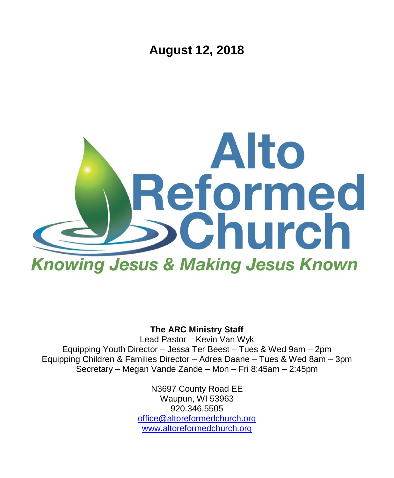**August 12, 2018**



### **The ARC Ministry Staff**

Lead Pastor – Kevin Van Wyk Equipping Youth Director – Jessa Ter Beest – Tues & Wed 9am – 2pm Equipping Children & Families Director – Adrea Daane – Tues & Wed 8am – 3pm Secretary – Megan Vande Zande – Mon – Fri 8:45am – 2:45pm

> N3697 County Road EE Waupun, WI 53963 920.346.5505 [office@altoreformedchurch.org](mailto:office@altoreformedchurch.org) [www.altoreformedchurch.org](http://www.altoreformedchurch.org/)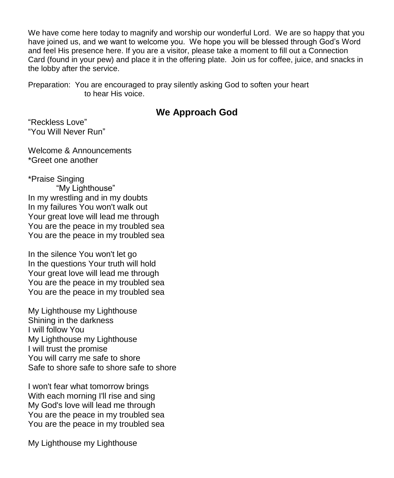We have come here today to magnify and worship our wonderful Lord. We are so happy that you have joined us, and we want to welcome you. We hope you will be blessed through God's Word and feel His presence here. If you are a visitor, please take a moment to fill out a Connection Card (found in your pew) and place it in the offering plate. Join us for coffee, juice, and snacks in the lobby after the service.

Preparation: You are encouraged to pray silently asking God to soften your heart to hear His voice.

## **We Approach God**

"Reckless Love" "You Will Never Run"

Welcome & Announcements \*Greet one another

\*Praise Singing "My Lighthouse" In my wrestling and in my doubts In my failures You won't walk out Your great love will lead me through You are the peace in my troubled sea You are the peace in my troubled sea

In the silence You won't let go In the questions Your truth will hold Your great love will lead me through You are the peace in my troubled sea You are the peace in my troubled sea

My Lighthouse my Lighthouse Shining in the darkness I will follow You My Lighthouse my Lighthouse I will trust the promise You will carry me safe to shore Safe to shore safe to shore safe to shore

I won't fear what tomorrow brings With each morning I'll rise and sing My God's love will lead me through You are the peace in my troubled sea You are the peace in my troubled sea

My Lighthouse my Lighthouse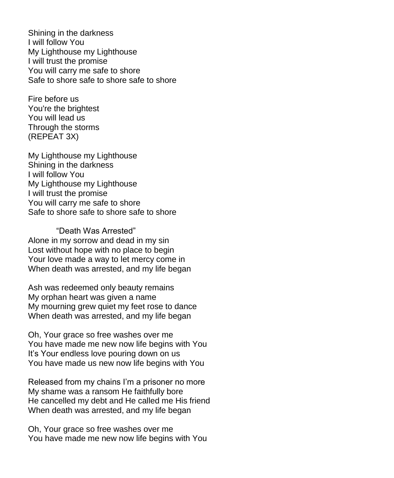Shining in the darkness I will follow You My Lighthouse my Lighthouse I will trust the promise You will carry me safe to shore Safe to shore safe to shore safe to shore

Fire before us You're the brightest You will lead us Through the storms (REPEAT 3X)

My Lighthouse my Lighthouse Shining in the darkness I will follow You My Lighthouse my Lighthouse I will trust the promise You will carry me safe to shore Safe to shore safe to shore safe to shore

"Death Was Arrested" Alone in my sorrow and dead in my sin Lost without hope with no place to begin Your love made a way to let mercy come in When death was arrested, and my life began

Ash was redeemed only beauty remains My orphan heart was given a name My mourning grew quiet my feet rose to dance When death was arrested, and my life began

Oh, Your grace so free washes over me You have made me new now life begins with You It's Your endless love pouring down on us You have made us new now life begins with You

Released from my chains I'm a prisoner no more My shame was a ransom He faithfully bore He cancelled my debt and He called me His friend When death was arrested, and my life began

Oh, Your grace so free washes over me You have made me new now life begins with You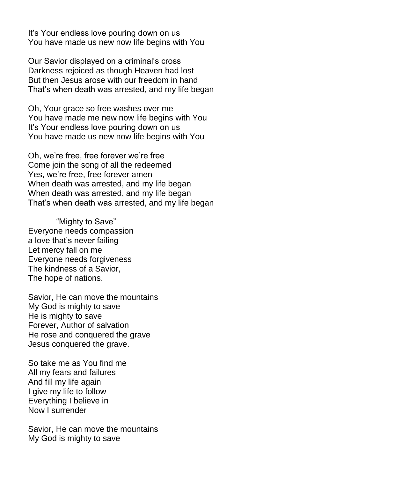It's Your endless love pouring down on us You have made us new now life begins with You

Our Savior displayed on a criminal's cross Darkness rejoiced as though Heaven had lost But then Jesus arose with our freedom in hand That's when death was arrested, and my life began

Oh, Your grace so free washes over me You have made me new now life begins with You It's Your endless love pouring down on us You have made us new now life begins with You

Oh, we're free, free forever we're free Come join the song of all the redeemed Yes, we're free, free forever amen When death was arrested, and my life began When death was arrested, and my life began That's when death was arrested, and my life began

"Mighty to Save" Everyone needs compassion a love that's never failing Let mercy fall on me Everyone needs forgiveness The kindness of a Savior, The hope of nations.

Savior, He can move the mountains My God is mighty to save He is mighty to save Forever, Author of salvation He rose and conquered the grave Jesus conquered the grave.

So take me as You find me All my fears and failures And fill my life again I give my life to follow Everything I believe in Now I surrender

Savior, He can move the mountains My God is mighty to save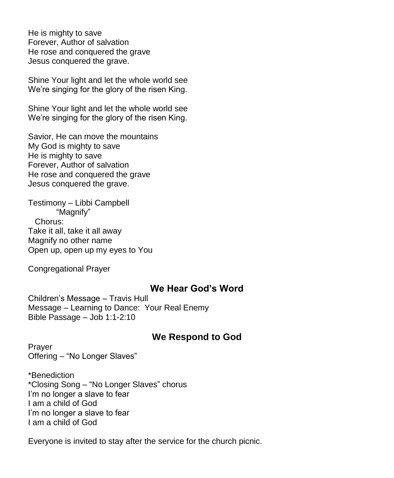He is mighty to save Forever, Author of salvation He rose and conquered the grave Jesus conquered the grave.

Shine Your light and let the whole world see We're singing for the glory of the risen King.

Shine Your light and let the whole world see We're singing for the glory of the risen King.

Savior, He can move the mountains My God is mighty to save He is mighty to save Forever, Author of salvation He rose and conquered the grave Jesus conquered the grave.

Testimony – Libbi Campbell "Magnify" Chorus: Take it all, take it all away Magnify no other name Open up, open up my eyes to You

Congregational Prayer

### **We Hear God's Word**

Children's Message – Travis Hull Message – Learning to Dance: Your Real Enemy Bible Passage – Job 1:1-2:10

### **We Respond to God**

Prayer Offering – "No Longer Slaves"

\*Benediction \*Closing Song – "No Longer Slaves" chorus I'm no longer a slave to fear I am a child of God I'm no longer a slave to fear I am a child of God

Everyone is invited to stay after the service for the church picnic.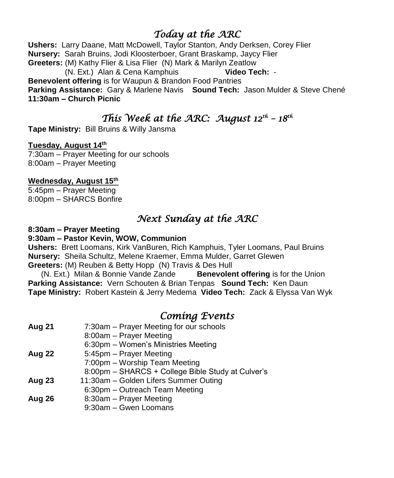# *Today at the ARC*

**Ushers:** Larry Daane, Matt McDowell, Taylor Stanton, Andy Derksen, Corey Flier **Nursery:** Sarah Bruins, Jodi Kloosterboer, Grant Braskamp, Jaycy Flier **Greeters:** (M) Kathy Flier & Lisa Flier (N) Mark & Marilyn Zeatlow

(N. Ext.) Alan & Cena Kamphuis **Video Tech:** -

**Benevolent offering** is for Waupun & Brandon Food Pantries **Parking Assistance:** Gary & Marlene Navis **Sound Tech:** Jason Mulder & Steve Chené **11:30am – Church Picnic**

# *This Week at the ARC: August*  $12^{th}$  *–*  $18^{th}$

**Tape Ministry:** Bill Bruins & Willy Jansma

### **Tuesday, August 14th**

7:30am – Prayer Meeting for our schools 8:00am – Prayer Meeting

### **Wednesday, August 15th**

5:45pm – Prayer Meeting 8:00pm – SHARCS Bonfire

## *Next Sunday at the ARC*

#### **8:30am – Prayer Meeting**

#### **9:30am – Pastor Kevin, WOW, Communion**

**Ushers:** Brett Loomans, Kirk VanBuren, Rich Kamphuis, Tyler Loomans, Paul Bruins **Nursery:** Sheila Schultz, Melene Kraemer, Emma Mulder, Garret Glewen **Greeters:** (M) Reuben & Betty Hopp (N) Travis & Des Hull

 (N. Ext.) Milan & Bonnie Vande Zande **Benevolent offering** is for the Union **Parking Assistance:** Vern Schouten & Brian Tenpas **Sound Tech:** Ken Daun **Tape Ministry:** Robert Kastein & Jerry Medema **Video Tech:** Zack & Elyssa Van Wyk

## *Coming Events*

| Aug 21                  | 7:30am – Prayer Meeting for our schools           |
|-------------------------|---------------------------------------------------|
|                         | 8:00am - Prayer Meeting                           |
|                         | 6:30pm - Women's Ministries Meeting               |
| Aug 22                  | 5:45pm - Prayer Meeting                           |
|                         | 7:00pm - Worship Team Meeting                     |
|                         | 8:00pm - SHARCS + College Bible Study at Culver's |
| Aug 23                  | 11:30am - Golden Lifers Summer Outing             |
|                         | 6:30pm – Outreach Team Meeting                    |
| $A$ <sub>110</sub> $26$ | 8:30am — Praver Meeting                           |

**Aug 26** 8:30am – Prayer Meeting

9:30am – Gwen Loomans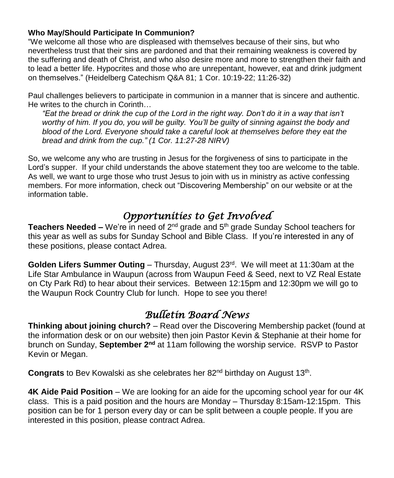### **Who May/Should Participate In Communion?**

"We welcome all those who are displeased with themselves because of their sins, but who nevertheless trust that their sins are pardoned and that their remaining weakness is covered by the suffering and death of Christ, and who also desire more and more to strengthen their faith and to lead a better life. Hypocrites and those who are unrepentant, however, eat and drink judgment on themselves." (Heidelberg Catechism Q&A 81; 1 Cor. 10:19-22; 11:26-32)

Paul challenges believers to participate in communion in a manner that is sincere and authentic. He writes to the church in Corinth…

"Eat the bread or drink the cup of the Lord in the right way. Don't do it in a way that isn't worthy of him. If you do, you will be guilty. You'll be guilty of sinning against the body and *blood of the Lord. Everyone should take a careful look at themselves before they eat the bread and drink from the cup." (1 Cor. 11:27-28 NIRV)*

So, we welcome any who are trusting in Jesus for the forgiveness of sins to participate in the Lord's supper. If your child understands the above statement they too are welcome to the table. As well, we want to urge those who trust Jesus to join with us in ministry as active confessing members. For more information, check out "Discovering Membership" on our website or at the information table.

# *Opportunities to Get Involved*

**Teachers Needed –** We're in need of 2<sup>nd</sup> grade and 5<sup>th</sup> grade Sunday School teachers for this year as well as subs for Sunday School and Bible Class. If you're interested in any of these positions, please contact Adrea.

Golden Lifers Summer Outing – Thursday, August 23<sup>rd</sup>. We will meet at 11:30am at the Life Star Ambulance in Waupun (across from Waupun Feed & Seed, next to VZ Real Estate on Cty Park Rd) to hear about their services. Between 12:15pm and 12:30pm we will go to the Waupun Rock Country Club for lunch. Hope to see you there!

# *Bulletin Board News*

**Thinking about joining church?** – Read over the Discovering Membership packet (found at the information desk or on our website) then join Pastor Kevin & Stephanie at their home for brunch on Sunday, **September 2<sup>nd</sup> at 11am following the worship service. RSVP to Pastor** Kevin or Megan.

Congrats to Bev Kowalski as she celebrates her 82<sup>nd</sup> birthday on August 13<sup>th</sup>.

**4K Aide Paid Position** – We are looking for an aide for the upcoming school year for our 4K class. This is a paid position and the hours are Monday – Thursday 8:15am-12:15pm. This position can be for 1 person every day or can be split between a couple people. If you are interested in this position, please contract Adrea.